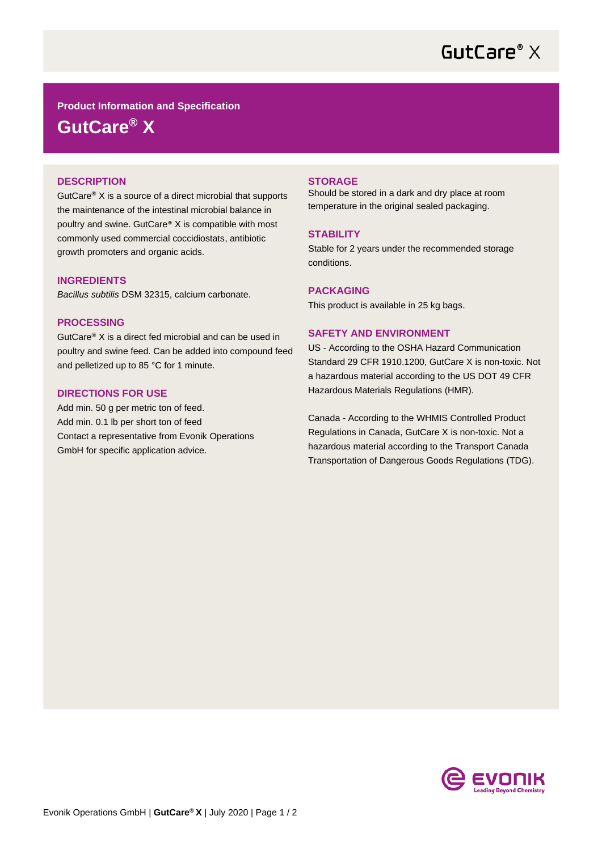

**Product Information and Specification**

**GutCare® X**

# **DESCRIPTION**

GutCare® X is a source of a direct microbial that supports the maintenance of the intestinal microbial balance in poultry and swine. GutCare® X is compatible with most commonly used commercial coccidiostats, antibiotic growth promoters and organic acids.

# **INGREDIENTS**

*Bacillus subtilis* DSM 32315, calcium carbonate.

### **PROCESSING**

GutCare® X is a direct fed microbial and can be used in poultry and swine feed. Can be added into compound feed and pelletized up to 85 °C for 1 minute.

# **DIRECTIONS FOR USE**

Add min. 50 g per metric ton of feed. Add min. 0.1 lb per short ton of feed Contact a representative from Evonik Operations GmbH for specific application advice.

#### **STORAGE**

Should be stored in a dark and dry place at room temperature in the original sealed packaging.

## **STABILITY**

Stable for 2 years under the recommended storage conditions.

## **PACKAGING**

This product is available in 25 kg bags.

#### **SAFETY AND ENVIRONMENT**

US - According to the OSHA Hazard Communication Standard 29 CFR 1910.1200, GutCare X is non-toxic. Not a hazardous material according to the US DOT 49 CFR Hazardous Materials Regulations (HMR).

Canada - According to the WHMIS Controlled Product Regulations in Canada, GutCare X is non-toxic. Not a hazardous material according to the Transport Canada Transportation of Dangerous Goods Regulations (TDG).